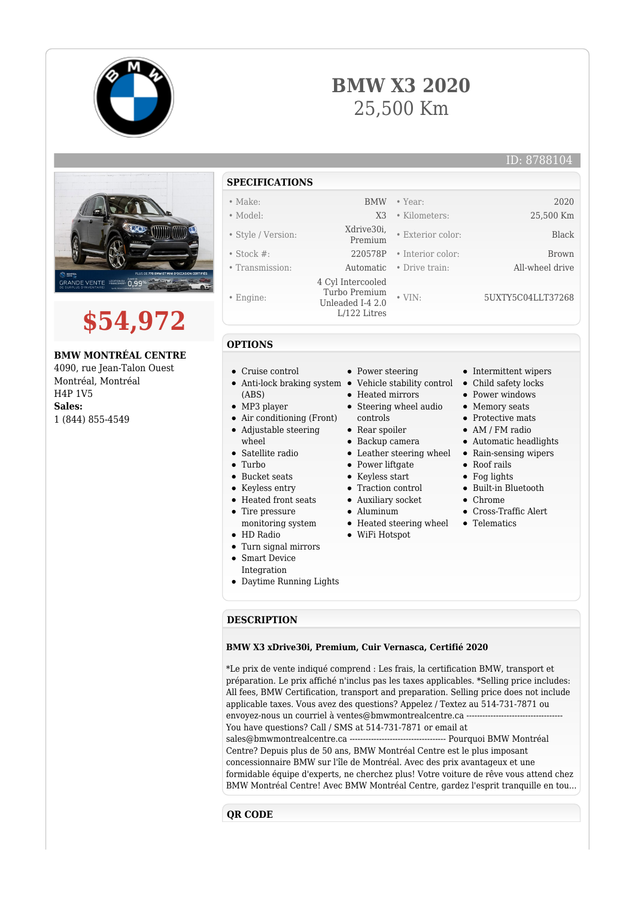





# **\$54,972**

#### **BMW MONTRÉAL CENTRE**

4090, rue Jean-Talon Ouest Montréal, Montréal H4P 1V5 **Sales:** 1 (844) 855-4549

### **SPECIFICATIONS**

- Make: BMW Year: 2020
- Model: X3 Kilometers: 25,500 Km
- Style / Version: Xdrive30i,
- Stock #: 220578P Interior color: Brown
- Transmission: Automatic Drive train: All-wheel drive
- Engine:
- 

#### **OPTIONS**

- Cruise control
- 
- (ABS)
- MP3 player
- Air conditioning (Front) Adjustable steering
- wheel
- Satellite radio
- Turbo
- Bucket seats
- Keyless entry
- Heated front seats
- Tire pressure
- monitoring system
- HD Radio
- Turn signal mirrors
- Smart Device Integration
- Daytime Running Lights

• Power steering

 4 Cyl Intercooled Turbo Premium Unleaded I-4 2.0 L/122 Litres

- Anti-lock braking system Vehicle stability control Child safety locks
	- Heated mirrors
	- Steering wheel audio
		- controls
	- Rear spoiler
	- Backup camera
	- Leather steering wheel Rain-sensing wipers
	- Power liftgate
	- Keyless start
	- Traction control
	- Auxiliary socket
	- Aluminum
	- Heated steering wheel
	- WiFi Hotspot
- Intermittent wipers
- 
- Power windows
- Memory seats

• Exterior color: Black

• VIN: 5UXTY5C04LLT37268

- Protective mats
- AM / FM radio
- Automatic headlights
- 
- Roof rails
- Fog lights
- Built-in Bluetooth
- Chrome
- Cross-Traffic Alert
- Telematics

## **DESCRIPTION**

#### **BMW X3 xDrive30i, Premium, Cuir Vernasca, Certifié 2020**

\*Le prix de vente indiqué comprend : Les frais, la certification BMW, transport et préparation. Le prix affiché n'inclus pas les taxes applicables. \*Selling price includes: All fees, BMW Certification, transport and preparation. Selling price does not include applicable taxes. Vous avez des questions? Appelez / Textez au 514-731-7871 ou envoyez-nous un courriel à ventes@bmwmontrealcentre.ca --You have questions? Call / SMS at 514-731-7871 or email at sales@bmwmontrealcentre.ca ------------------------------------ Pourquoi BMW Montréal Centre? Depuis plus de 50 ans, BMW Montréal Centre est le plus imposant concessionnaire BMW sur l'île de Montréal. Avec des prix avantageux et une formidable équipe d'experts, ne cherchez plus! Votre voiture de rêve vous attend chez BMW Montréal Centre! Avec BMW Montréal Centre, gardez l'esprit tranquille en tou...

#### **QR CODE**